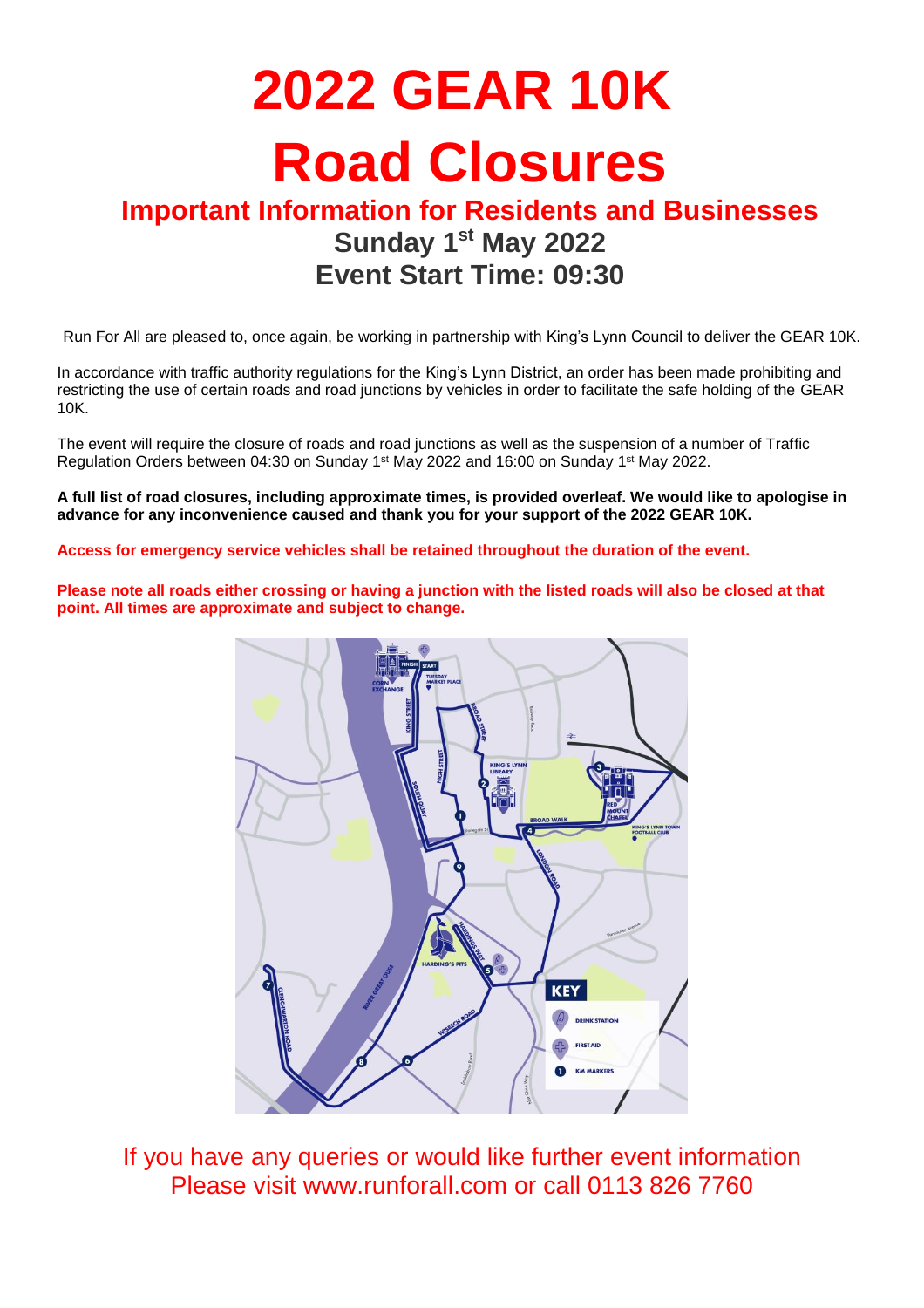# **2022 GEAR 10K Road Closures**

### **Important Information for Residents and Businesses Sunday 1 st May 2022 Event Start Time: 09:30**

Run For All are pleased to, once again, be working in partnership with King's Lynn Council to deliver the GEAR 10K.

In accordance with traffic authority regulations for the King's Lynn District, an order has been made prohibiting and restricting the use of certain roads and road junctions by vehicles in order to facilitate the safe holding of the GEAR 10K.

The event will require the closure of roads and road junctions as well as the suspension of a number of Traffic Regulation Orders between 04:30 on Sunday 1 st May 2022 and 16:00 on Sunday 1 st May 2022.

**A full list of road closures, including approximate times, is provided overleaf. We would like to apologise in advance for any inconvenience caused and thank you for your support of the 2022 GEAR 10K.**

**Access for emergency service vehicles shall be retained throughout the duration of the event.**

**Please note all roads either crossing or having a junction with the listed roads will also be closed at that point. All times are approximate and subject to change.**



If you have any queries or would like further event information Please visit [www.runforall.com](http://www.runforall.com/) or call 0113 826 7760